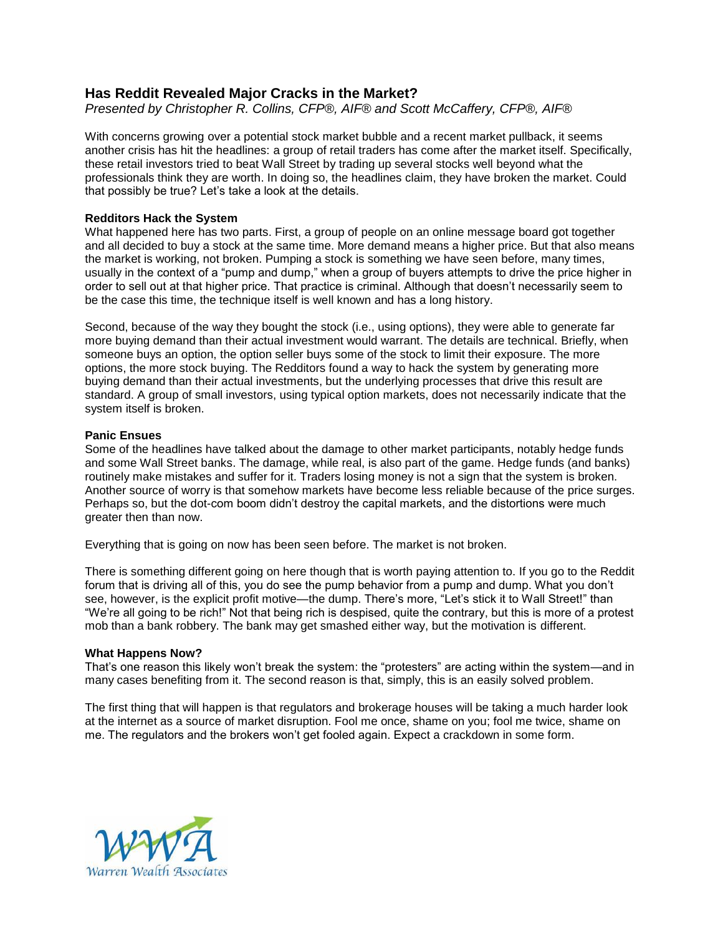# **Has Reddit Revealed Major Cracks in the Market?**

*Presented by Christopher R. Collins, CFP®, AIF® and Scott McCaffery, CFP®, AIF®*

With concerns growing over a potential stock market bubble and a recent market pullback, it seems another crisis has hit the headlines: a group of retail traders has come after the market itself. Specifically, these retail investors tried to beat Wall Street by trading up several stocks well beyond what the professionals think they are worth. In doing so, the headlines claim, they have broken the market. Could that possibly be true? Let's take a look at the details.

## **Redditors Hack the System**

What happened here has two parts. First, a group of people on an online message board got together and all decided to buy a stock at the same time. More demand means a higher price. But that also means the market is working, not broken. Pumping a stock is something we have seen before, many times, usually in the context of a "pump and dump," when a group of buyers attempts to drive the price higher in order to sell out at that higher price. That practice is criminal. Although that doesn't necessarily seem to be the case this time, the technique itself is well known and has a long history.

Second, because of the way they bought the stock (i.e., using options), they were able to generate far more buying demand than their actual investment would warrant. The details are technical. Briefly, when someone buys an option, the option seller buys some of the stock to limit their exposure. The more options, the more stock buying. The Redditors found a way to hack the system by generating more buying demand than their actual investments, but the underlying processes that drive this result are standard. A group of small investors, using typical option markets, does not necessarily indicate that the system itself is broken.

## **Panic Ensues**

Some of the headlines have talked about the damage to other market participants, notably hedge funds and some Wall Street banks. The damage, while real, is also part of the game. Hedge funds (and banks) routinely make mistakes and suffer for it. Traders losing money is not a sign that the system is broken. Another source of worry is that somehow markets have become less reliable because of the price surges. Perhaps so, but the dot-com boom didn't destroy the capital markets, and the distortions were much greater then than now.

Everything that is going on now has been seen before. The market is not broken.

There is something different going on here though that is worth paying attention to. If you go to the Reddit forum that is driving all of this, you do see the pump behavior from a pump and dump. What you don't see, however, is the explicit profit motive—the dump. There's more, "Let's stick it to Wall Street!" than "We're all going to be rich!" Not that being rich is despised, quite the contrary, but this is more of a protest mob than a bank robbery. The bank may get smashed either way, but the motivation is different.

### **What Happens Now?**

That's one reason this likely won't break the system: the "protesters" are acting within the system—and in many cases benefiting from it. The second reason is that, simply, this is an easily solved problem.

The first thing that will happen is that regulators and brokerage houses will be taking a much harder look at the internet as a source of market disruption. Fool me once, shame on you; fool me twice, shame on me. The regulators and the brokers won't get fooled again. Expect a crackdown in some form.